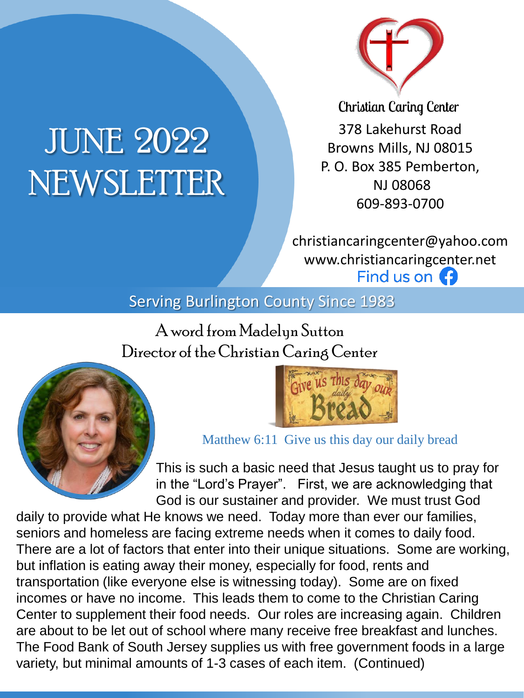

# JUNE 2022 NEWSLETTER

**Christian Caring Center** 378 Lakehurst Road Browns Mills, NJ 08015 P. O. Box 385 Pemberton, NJ 08068 609-893-0700

christiancaringcenter@yahoo.com www.christiancaringcenter.net Find us on **(3)** 

Serving Burlington County Since 1983

A word from Madelyn Sutton Director of the Christian Caring Center





Matthew 6:11 Give us this day our daily bread

This is such a basic need that Jesus taught us to pray for in the "Lord's Prayer". First, we are acknowledging that God is our sustainer and provider. We must trust God

daily to provide what He knows we need. Today more than ever our families, seniors and homeless are facing extreme needs when it comes to daily food. There are a lot of factors that enter into their unique situations. Some are working, but inflation is eating away their money, especially for food, rents and transportation (like everyone else is witnessing today). Some are on fixed incomes or have no income. This leads them to come to the Christian Caring Center to supplement their food needs. Our roles are increasing again. Children are about to be let out of school where many receive free breakfast and lunches. The Food Bank of South Jersey supplies us with free government foods in a large variety, but minimal amounts of 1-3 cases of each item. (Continued)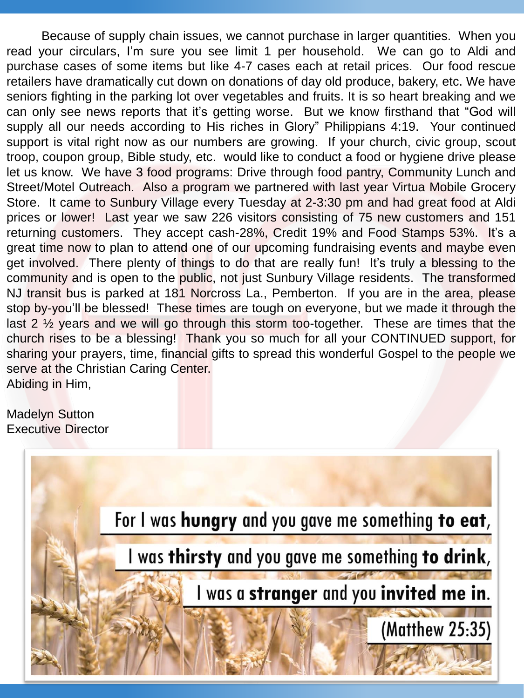Because of supply chain issues, we cannot purchase in larger quantities. When you read your circulars, I'm sure you see limit 1 per household. We can go to Aldi and purchase cases of some items but like 4-7 cases each at retail prices. Our food rescue retailers have dramatically cut down on donations of day old produce, bakery, etc. We have seniors fighting in the parking lot over vegetables and fruits. It is so heart breaking and we can only see news reports that it's getting worse. But we know firsthand that "God will supply all our needs according to His riches in Glory" Philippians 4:19. Your continued support is vital right now as our numbers are growing. If your church, civic group, scout troop, coupon group, Bible study, etc. would like to conduct a food or hygiene drive please let us know. We have 3 food programs: Drive through food pantry, Community Lunch and Street/Motel Outreach. Also a program we partnered with last year Virtua Mobile Grocery Store. It came to Sunbury Village every Tuesday at 2-3:30 pm and had great food at Aldi prices or lower! Last year we saw 226 visitors consisting of 75 new customers and 151 returning customers. They accept cash-28%, Credit 19% and Food Stamps 53%. It's a great time now to plan to attend one of our upcoming fundraising events and maybe even get involved. There plenty of things to do that are really fun! It's truly a blessing to the community and is open to the public, not just Sunbury Village residents. The transformed NJ transit bus is parked at 181 Norcross La., Pemberton. If you are in the area, please stop by-you'll be blessed! These times are tough on everyone, but we made it through the last  $2\frac{1}{2}$  years and we will go through this storm too-together. These are times that the church rises to be a blessing! Thank you so much for all your CONTINUED support, for sharing your prayers, time, financial gifts to spread this wonderful Gospel to the people we serve at the Christian Caring Center. Abiding in Him,

Madelyn Sutton Executive Director

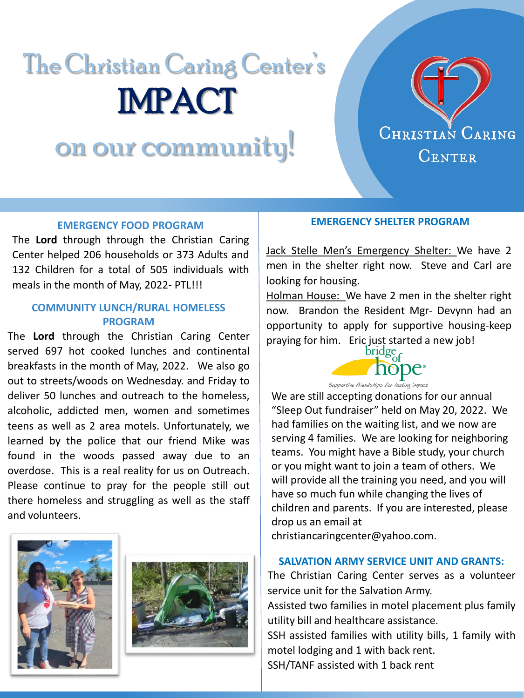# The Christian Caring Center's IMPACT

# on our community!



# **EMERGENCY FOOD PROGRAM**

The **Lord** through through the Christian Caring Center helped 206 households or 373 Adults and 132 Children for a total of 505 individuals with meals in the month of May, 2022- PTL!!!

## **COMMUNITY LUNCH/RURAL HOMELESS PROGRAM**

The **Lord** through the Christian Caring Center served 697 hot cooked lunches and continental breakfasts in the month of May, 2022. We also go out to streets/woods on Wednesday. and Friday to deliver 50 lunches and outreach to the homeless, alcoholic, addicted men, women and sometimes teens as well as 2 area motels. Unfortunately, we learned by the police that our friend Mike was found in the woods passed away due to an overdose. This is a real reality for us on Outreach. Please continue to pray for the people still out there homeless and struggling as well as the staff and volunteers.





#### **EMERGENCY SHELTER PROGRAM**

Jack Stelle Men's Emergency Shelter: We have 2 men in the shelter right now. Steve and Carl are looking for housing.

Holman House: We have 2 men in the shelter right now. Brandon the Resident Mgr- Devynn had an opportunity to apply for supportive housing-keep praying for him. Eric just started a new job!<br> $\frac{\text{bridge}_{\text{cf}}}{\text{bridge}_{\text{cf}}}$ 



We are still accepting donations for our annual "Sleep Out fundraiser" held on May 20, 2022. We had families on the waiting list, and we now are serving 4 families. We are looking for neighboring teams. You might have a Bible study, your church or you might want to join a team of others. We will provide all the training you need, and you will have so much fun while changing the lives of children and parents. If you are interested, please drop us an email at

christiancaringcenter@yahoo.com.

### **SALVATION ARMY SERVICE UNIT AND GRANTS:**

The Christian Caring Center serves as a volunteer service unit for the Salvation Army.

Assisted two families in motel placement plus family utility bill and healthcare assistance.

SSH assisted families with utility bills, 1 family with motel lodging and 1 with back rent.

SSH/TANF assisted with 1 back rent